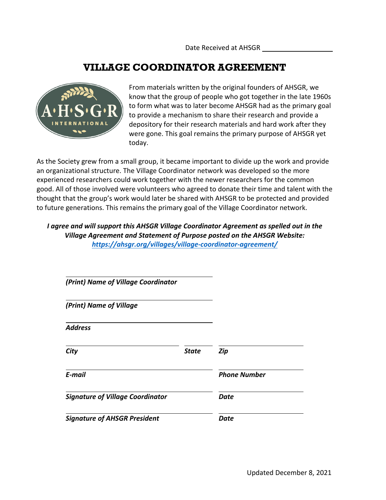Date Received at AHSGR

#### **VILLAGE COORDINATOR AGREEMENT**



From materials written by the original founders of AHSGR, we know that the group of people who got together in the late 1960s to form what was to later become AHSGR had as the primary goal to provide a mechanism to share their research and provide a depository for their research materials and hard work after they were gone. This goal remains the primary purpose of AHSGR yet today.

As the Society grew from a small group, it became important to divide up the work and provide an organizational structure. The Village Coordinator network was developed so the more experienced researchers could work together with the newer researchers for the common good. All of those involved were volunteers who agreed to donate their time and talent with the thought that the group's work would later be shared with AHSGR to be protected and provided to future generations. This remains the primary goal of the Village Coordinator network.

*I agree and will support this AHSGR Village Coordinator Agreement as spelled out in the Village Agreement and Statement of Purpose posted on the AHSGR Website: https://ahsgr.org/villages/village-coordinator-agreement/*

| (Print) Name of Village Coordinator     |              |                     |
|-----------------------------------------|--------------|---------------------|
| (Print) Name of Village                 |              |                     |
| <b>Address</b>                          |              |                     |
| City                                    | <b>State</b> | Zip                 |
| E-mail                                  |              | <b>Phone Number</b> |
| <b>Signature of Village Coordinator</b> |              | Date                |
| <b>Signature of AHSGR President</b>     |              | Date                |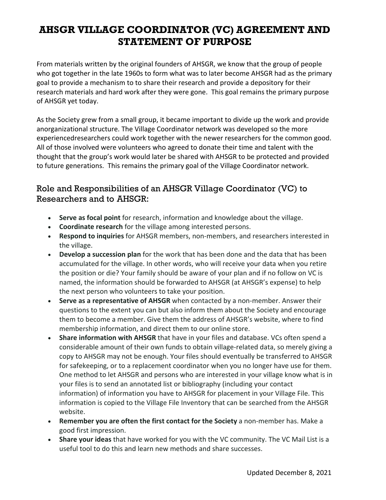From materials written by the original founders of AHSGR, we know that the group of people who got together in the late 1960s to form what was to later become AHSGR had as the primary goal to provide a mechanism to to share their research and provide a depository for their research materials and hard work after they were gone. This goal remains the primary purpose of AHSGR yet today.

As the Society grew from a small group, it became important to divide up the work and provide anorganizational structure. The Village Coordinator network was developed so the more experiencedresearchers could work together with the newer researchers for the common good. All of those involved were volunteers who agreed to donate their time and talent with the thought that the group's work would later be shared with AHSGR to be protected and provided to future generations. This remains the primary goal of the Village Coordinator network.

#### Role and Responsibilities of an AHSGR Village Coordinator (VC) to Researchers and to AHSGR:

- **Serve as focal point** for research, information and knowledge about the village.
- **Coordinate research** for the village among interested persons.
- **Respond to inquiries** for AHSGR members, non-members, and researchers interested in the village.
- **Develop a succession plan** for the work that has been done and the data that has been accumulated for the village. In other words, who will receive your data when you retire the position or die? Your family should be aware of your plan and if no follow on VC is named, the information should be forwarded to AHSGR (at AHSGR's expense) to help the next person who volunteers to take your position.
- **Serve as a representative of AHSGR** when contacted by a non-member. Answer their questions to the extent you can but also inform them about the Society and encourage them to become a member. Give them the address of AHSGR's website, where to find membership information, and direct them to our online store.
- **Share information with AHSGR** that have in your files and database. VCs often spend a considerable amount of their own funds to obtain village-related data, so merely giving a copy to AHSGR may not be enough. Your files should eventually be transferred to AHSGR for safekeeping, or to a replacement coordinator when you no longer have use for them. One method to let AHSGR and persons who are interested in your village know what is in your files is to send an annotated list or bibliography (including your contact information) of information you have to AHSGR for placement in your Village File. This information is copied to the Village File Inventory that can be searched from the AHSGR website.
- **Remember you are often the first contact for the Society** a non-member has. Make a good first impression.
- **Share your ideas** that have worked for you with the VC community. The VC Mail List is a useful tool to do this and learn new methods and share successes.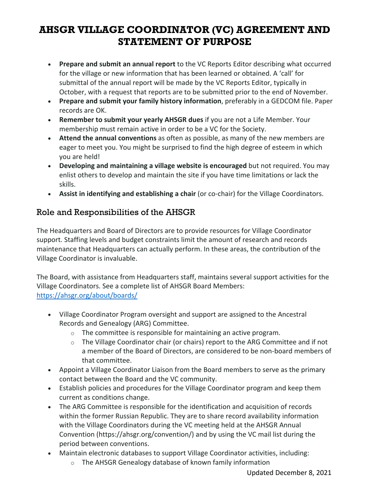- **Prepare and submit an annual report** to the VC Reports Editor describing what occurred for the village or new information that has been learned or obtained. A 'call' for submittal of the annual report will be made by the VC Reports Editor, typically in October, with a request that reports are to be submitted prior to the end of November.
- **Prepare and submit your family history information**, preferably in a GEDCOM file. Paper records are OK.
- **Remember to submit your yearly AHSGR dues** if you are not a Life Member. Your membership must remain active in order to be a VC for the Society.
- **Attend the annual conventions** as often as possible, as many of the new members are eager to meet you. You might be surprised to find the high degree of esteem in which you are held!
- **Developing and maintaining a village website is encouraged** but not required. You may enlist others to develop and maintain the site if you have time limitations or lack the skills.
- **Assist in identifying and establishing a chair** (or co-chair) for the Village Coordinators.

#### Role and Responsibilities of the AHSGR

The Headquarters and Board of Directors are to provide resources for Village Coordinator support. Staffing levels and budget constraints limit the amount of research and records maintenance that Headquarters can actually perform. In these areas, the contribution of the Village Coordinator is invaluable.

The Board, with assistance from Headquarters staff, maintains several support activities for the Village Coordinators. See a complete list of AHSGR Board Members: https://ahsgr.org/about/boards/

- Village Coordinator Program oversight and support are assigned to the Ancestral Records and Genealogy (ARG) Committee.
	- o The committee is responsible for maintaining an active program.
	- o The Village Coordinator chair (or chairs) report to the ARG Committee and if not a member of the Board of Directors, are considered to be non-board members of that committee.
- Appoint a Village Coordinator Liaison from the Board members to serve as the primary contact between the Board and the VC community.
- Establish policies and procedures for the Village Coordinator program and keep them current as conditions change.
- The ARG Committee is responsible for the identification and acquisition of records within the former Russian Republic. They are to share record availability information with the Village Coordinators during the VC meeting held at the AHSGR Annual Convention (https://ahsgr.org/convention/) and by using the VC mail list during the period between conventions.
- Maintain electronic databases to support Village Coordinator activities, including:
	- o The AHSGR Genealogy database of known family information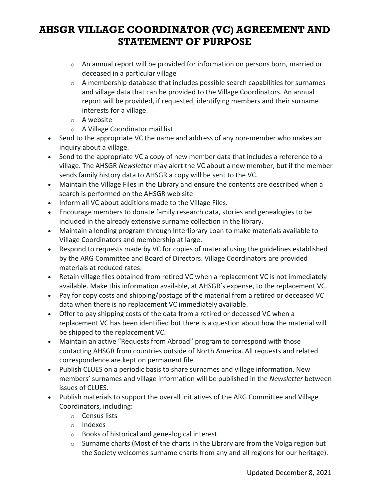- o An annual report will be provided for information on persons born, married or deceased in a particular village
- $\circ$  A membership database that includes possible search capabilities for surnames and village data that can be provided to the Village Coordinators. An annual report will be provided, if requested, identifying members and their surname interests for a village.
- o A website
- o A Village Coordinator mail list
- Send to the appropriate VC the name and address of any non-member who makes an inquiry about a village.
- Send to the appropriate VC a copy of new member data that includes a reference to a village. The AHSGR *Newsletter* may alert the VC about a new member, but if the member sends family history data to AHSGR a copy will be sent to the VC.
- Maintain the Village Files in the Library and ensure the contents are described when a search is performed on the AHSGR web site
- Inform all VC about additions made to the Village Files.
- Encourage members to donate family research data, stories and genealogies to be included in the already extensive surname collection in the library.
- Maintain a lending program through Interlibrary Loan to make materials available to Village Coordinators and membership at large.
- Respond to requests made by VC for copies of material using the guidelines established by the ARG Committee and Board of Directors. Village Coordinators are provided materials at reduced rates.
- Retain village files obtained from retired VC when a replacement VC is not immediately available. Make this information available, at AHSGR's expense, to the replacement VC.
- Pay for copy costs and shipping/postage of the material from a retired or deceased VC data when there is no replacement VC immediately available.
- Offer to pay shipping costs of the data from a retired or deceased VC when a replacement VC has been identified but there is a question about how the material will be shipped to the replacement VC.
- Maintain an active "Requests from Abroad" program to correspond with those contacting AHSGR from countries outside of North America. All requests and related correspondence are kept on permanent file.
- Publish CLUES on a periodic basis to share surnames and village information. New members' surnames and village information will be published in the *Newsletter* between issues of CLUES.
- Publish materials to support the overall initiatives of the ARG Committee and Village Coordinators, including:
	- o Census lists
	- o Indexes
	- o Books of historical and genealogical interest
	- o Surname charts (Most of the charts in the Library are from the Volga region but the Society welcomes surname charts from any and all regions for our heritage).